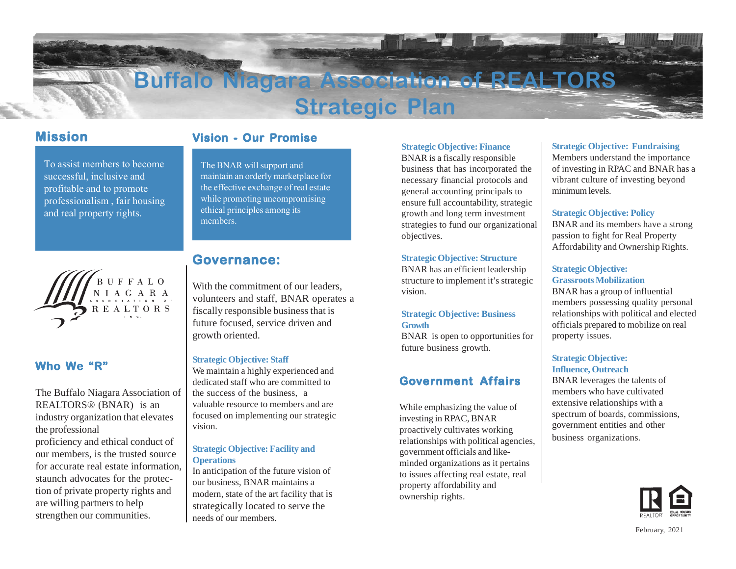# **Buffalo Niagara**

# **Strategic Plan**

# **Mission Mission**

To assist members to become successful, inclusive and profitable and to promote professionalism , fair housing and real property rights.



## **Who We "R"**

The Buffalo Niagara Association of REALTORS® (BNAR) is an industry organization that elevates the professional

proficiency and ethical conduct of our members, is the trusted source for accurate real estate information, staunch advocates for the protection of private property rights and are willing partners to help strengthen our communities.

# **Vision - Our Promise**

The BNAR will support and maintain an orderly marketplace for the effective exchange of real estate while promoting uncompromising ethical principles among its members.

# **Governance: Governance:**

With the commitment of our leaders, volunteers and staff, BNAR operates a fiscally responsible business that is future focused, service driven and growth oriented.

#### **Strategic Objective: Staff**

We maintain a highly experienced and dedicated staff who are committed to the success of the business, a valuable resource to members and are focused on implementing our strategic vision.

#### **Strategic Objective: Facility and Operations**

In anticipation of the future vision of our business, BNAR maintains a modern, state of the art facility that is strategically located to serve the needs of our members.

#### **Strategic Objective: Finance**

BNAR is a fiscally responsible business that has incorporated the necessary financial protocols and general accounting principals to ensure full accountability, strategic growth and long term investment strategies to fund our organizational objectives.

#### **Strategic Objective: Structure**

BNAR has an efficient leadership structure to implement it's strategic vision.

#### **Strategic Objective: Business Growth**

BNAR is open to opportunities for future business growth.

# **Government Affairs**

While emphasizing the value of investing in RPAC, BNAR proactively cultivates working relationships with political agencies, government officials and likeminded organizations as it pertains to issues affecting real estate, real property affordability and ownership rights.

#### **Strategic Objective: Fundraising**

Members understand the importance of investing in RPAC and BNAR has a vibrant culture of investing beyond minimum levels.

#### **Strategic Objective: Policy**

BNAR and its members have a strong passion to fight for Real Property Affordability and Ownership Rights.

#### **Strategic Objective: Grassroots Mobilization**

BNAR has a group of influential members possessing quality personal relationships with political and elected officials prepared to mobilize on real property issues.

#### **Strategic Objective: Influence, Outreach**

BNAR leverages the talents of members who have cultivated extensive relationships with a spectrum of boards, commissions, government entities and other business organizations.